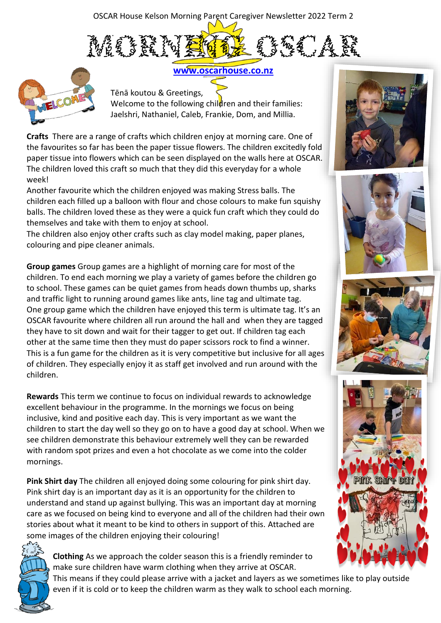OSCAR House Kelson Morning Parent Caregiver Newsletter 2022 Term 2





**[www.oscarhouse.co.nz](file:///C:/Users/Dalena%20Wallace/Desktop/SUPERNOTES%20EXCEL/Z%20NEWSLETTER%20PREP%20AND%20PHOTOS/T2%20Newsletters%20prep/www.oscarhouse.co.nz)**

Tēnā koutou & Greetings, Welcome to the following children and their families: Jaelshri, Nathaniel, Caleb, Frankie, Dom, and Millia.

**Crafts** There are a range of crafts which children enjoy at morning care. One of the favourites so far has been the paper tissue flowers. The children excitedly fold paper tissue into flowers which can be seen displayed on the walls here at OSCAR. The children loved this craft so much that they did this everyday for a whole week!

Another favourite which the children enjoyed was making Stress balls. The children each filled up a balloon with flour and chose colours to make fun squishy balls. The children loved these as they were a quick fun craft which they could do themselves and take with them to enjoy at school.

The children also enjoy other crafts such as clay model making, paper planes, colouring and pipe cleaner animals.

**Group games** Group games are a highlight of morning care for most of the children. To end each morning we play a variety of games before the children go to school. These games can be quiet games from heads down thumbs up, sharks and traffic light to running around games like ants, line tag and ultimate tag. One group game which the children have enjoyed this term is ultimate tag. It's an OSCAR favourite where children all run around the hall and when they are tagged they have to sit down and wait for their tagger to get out. If children tag each other at the same time then they must do paper scissors rock to find a winner. This is a fun game for the children as it is very competitive but inclusive for all ages of children. They especially enjoy it as staff get involved and run around with the children.

**Rewards** This term we continue to focus on individual rewards to acknowledge excellent behaviour in the programme. In the mornings we focus on being inclusive, kind and positive each day. This is very important as we want the children to start the day well so they go on to have a good day at school. When we see children demonstrate this behaviour extremely well they can be rewarded with random spot prizes and even a hot chocolate as we come into the colder mornings.

**Pink Shirt day** The children all enjoyed doing some colouring for pink shirt day. Pink shirt day is an important day as it is an opportunity for the children to understand and stand up against bullying. This was an important day at morning care as we focused on being kind to everyone and all of the children had their own stories about what it meant to be kind to others in support of this. Attached are some images of the children enjoying their colouring!



**Clothing** As we approach the colder season this is a friendly reminder to make sure children have warm clothing when they arrive at OSCAR.